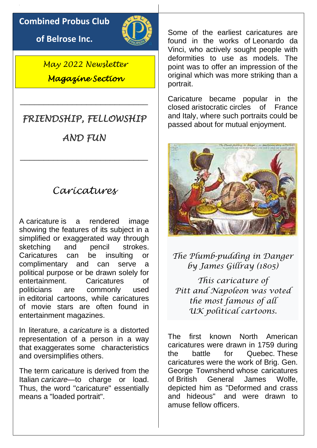#### **Combined Probus Club**

**of Belrose Inc.**



*May 2022 Newsletter Magazine Section* 

# *FRIENDSHIP, FELLOWSHIP*

\_\_\_\_\_\_\_\_\_\_\_\_\_\_\_\_\_\_\_\_\_\_\_\_\_\_\_

*AND FUN* 

\_\_\_\_\_\_\_\_\_\_\_\_\_\_\_\_\_\_\_\_\_\_\_\_\_\_\_

### *Caricatures*

A caricature is a rendered image showing the features of its subject in a simplified or exaggerated way through sketching and pencil strokes. Caricatures can be insulting or complimentary and can serve a political purpose or be drawn solely for entertainment. Caricatures of politicians are commonly used in [editorial cartoons,](https://en.wikipedia.org/wiki/Editorial_cartoon) while caricatures of movie stars are often found in entertainment [magazines.](https://en.wikipedia.org/wiki/Magazine)

In literature, a *caricature* is a distorted representation of a person in a way that [exaggerates](https://en.wikipedia.org/wiki/Exaggeration) some characteristics and oversimplifies others.

The term caricature is derived from the Italian *caricare*—to charge or load. Thus, the word "caricature" essentially means a "loaded portrait".

Some of the earliest caricatures are found in the works of [Leonardo da](https://en.wikipedia.org/wiki/Leonardo_da_Vinci)  [Vinci,](https://en.wikipedia.org/wiki/Leonardo_da_Vinci) who actively sought people with deformities to use as models. The point was to offer an impression of the original which was more striking than a portrait.

Caricature became popular in the closed [aristocratic](https://en.wikipedia.org/wiki/Aristocratic) circles of France and Italy, where such portraits could be passed about for mutual enjoyment.



*The Plumb-pudding in Danger by [James Gillray](https://en.wikipedia.org/wiki/James_Gillray) (1805)*

*This caricature of [Pitt](https://en.wikipedia.org/wiki/William_Pitt_the_Younger) and [Napoleon](https://en.wikipedia.org/wiki/Napoleon_I) was voted the most famous of all UK [political cartoons.](https://en.wikipedia.org/wiki/Political_cartoon)*

The first known North American caricatures were drawn in 1759 during the battle for Quebec. These caricatures were the work of Brig. [Gen.](https://en.wikipedia.org/wiki/George_Townshend,_1st_Marquess_Townshend)  [George Townshend](https://en.wikipedia.org/wiki/George_Townshend,_1st_Marquess_Townshend) whose caricatures of [British General James Wolfe,](https://en.wikipedia.org/wiki/James_Wolfe) depicted him as "Deformed and crass and hideous" and were drawn to amuse fellow officers.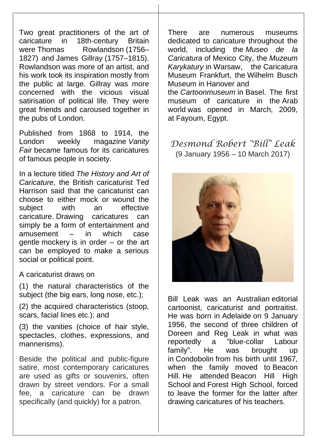Two great practitioners of the art of caricature in 18th-century Britain were [Thomas Rowlandson](https://en.wikipedia.org/wiki/Thomas_Rowlandson) (1756– 1827) and [James Gillray](https://en.wikipedia.org/wiki/James_Gillray) (1757–1815). Rowlandson was more of an artist, and his work took its inspiration mostly from the public at large. Gillray was more concerned with the vicious visual satirisation of political life. They were great friends and caroused together in the pubs of London.

Published from 1868 to 1914, the London weekly magazine *[Vanity](https://en.wikipedia.org/wiki/Vanity_Fair_(British_magazine))  [Fair](https://en.wikipedia.org/wiki/Vanity_Fair_(British_magazine))* became famous for its caricatures of famous people in society.

In a lecture titled *The History and Art of Caricature*, the British caricaturist Ted Harrison said that the caricaturist can choose to either mock or wound the subject with an effective caricature. Drawing caricatures can simply be a form of entertainment and amusement – in which case gentle [mockery](https://en.wikipedia.org/wiki/Mockery) is in order – or the art can be employed to make a serious social or political point.

A caricaturist draws on

(1) the natural characteristics of the subject (the big ears, long nose, etc.);

(2) the acquired characteristics (stoop, scars, facial lines etc.); and

(3) the vanities (choice of hair style, spectacles, clothes, expressions, and mannerisms).

Beside the political and public-figure satire, most contemporary caricatures are used as gifts or souvenirs, often drawn by street vendors. For a small fee, a caricature can be drawn specifically (and quickly) for a patron.

There are numerous museums dedicated to caricature throughout the world, including the *[Museo de la](https://en.wikipedia.org/wiki/Caricature_Museum,_Mexico_City)  [Caricatura](https://en.wikipedia.org/wiki/Caricature_Museum,_Mexico_City)* of [Mexico City,](https://en.wikipedia.org/wiki/Mexico_City) the *[Muzeum](https://en.wikipedia.org/wiki/Museum_of_Caricature,_Warsaw)  [Karykatury](https://en.wikipedia.org/wiki/Museum_of_Caricature,_Warsaw)* in [Warsaw,](https://en.wikipedia.org/wiki/Warsaw) the [Caricatura](https://en.wikipedia.org/wiki/Caricatura_Museum_Frankfurt)  [Museum Frankfurt,](https://en.wikipedia.org/wiki/Caricatura_Museum_Frankfurt) the [Wilhelm Busch](https://en.wikipedia.org/wiki/Wilhelm_Busch_Museum)  [Museum](https://en.wikipedia.org/wiki/Wilhelm_Busch_Museum) in [Hanover](https://en.wikipedia.org/wiki/Hanover) and the *[Cartoonmuseum](https://en.wikipedia.org/wiki/Cartoonmuseum_Basel)* in [Basel.](https://en.wikipedia.org/wiki/Basel) The first museum of caricature in the [Arab](https://en.wikipedia.org/wiki/Arab_world)  [world](https://en.wikipedia.org/wiki/Arab_world) was opened in March, 2009, at [Fayoum,](https://en.wikipedia.org/wiki/Fayoum) Egypt.

*Desmond Robert "Bill" Leak* (9 January 1956 – 10 March 2017)



Bill Leak was an Australian [editorial](https://en.wikipedia.org/wiki/Editorial_cartoon)  [cartoonist,](https://en.wikipedia.org/wiki/Editorial_cartoon) caricaturist and portraitist. He was born in [Adelaide](https://en.wikipedia.org/wiki/Adelaide) on 9 January 1956, the second of three children of Doreen and Reg Leak in what was reportedly a "blue-collar Labour family". He was brought up in [Condobolin](https://en.wikipedia.org/wiki/Condobolin) from his birth until 1967, when the family moved to [Beacon](https://en.wikipedia.org/wiki/Beacon_Hill,_New_South_Wales)  [Hill.](https://en.wikipedia.org/wiki/Beacon_Hill,_New_South_Wales) He attended [Beacon Hill High](https://en.wikipedia.org/wiki/Beacon_Hill_High_School_(New_South_Wales))  [School](https://en.wikipedia.org/wiki/Beacon_Hill_High_School_(New_South_Wales)) and [Forest High School,](https://en.wikipedia.org/wiki/Forest_High_School_(Sydney)) forced to leave the former for the latter after drawing caricatures of his teachers.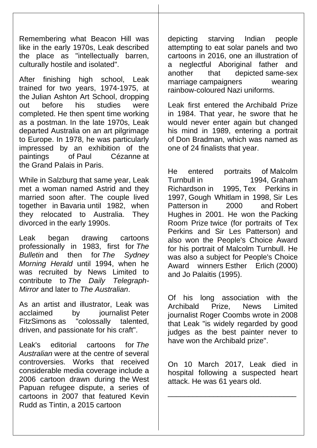Remembering what Beacon Hill was like in the early 1970s, Leak described the place as "intellectually barren, culturally hostile and isolated".

After finishing high school, Leak trained for two years, 1974-1975, at the [Julian Ashton Art School,](https://en.wikipedia.org/wiki/Julian_Ashton_Art_School) dropping out before his studies were completed. He then spent time working as a postman. In the late 1970s, Leak departed Australia on an art pilgrimage to Europe. In 1978, he was particularly impressed by an exhibition of the paintings of [Paul Cézanne](https://en.wikipedia.org/wiki/Paul_C%C3%A9zanne) at the [Grand Palais](https://en.wikipedia.org/wiki/Grand_Palais) in [Paris.](https://en.wikipedia.org/wiki/Paris)

While in [Salzburg](https://en.wikipedia.org/wiki/Salzburg) that same year, Leak met a woman named Astrid and they married soon after. The couple lived together in [Bavaria](https://en.wikipedia.org/wiki/Bavaria) until 1982, when they relocated to Australia. They divorced in the early 1990s.

Leak began drawing cartoons professionally in 1983, first for *[The](https://en.wikipedia.org/wiki/The_Bulletin_(Australian_periodical))  [Bulletin](https://en.wikipedia.org/wiki/The_Bulletin_(Australian_periodical))* and then for *[The Sydney](https://en.wikipedia.org/wiki/The_Sydney_Morning_Herald)  [Morning Herald](https://en.wikipedia.org/wiki/The_Sydney_Morning_Herald)* until 1994, when he was recruited by News Limited to contribute to *[The Daily Telegraph-](https://en.wikipedia.org/wiki/The_Daily_Telegraph_(Sydney))[Mirror](https://en.wikipedia.org/wiki/The_Daily_Telegraph_(Sydney))* and later to *[The Australian](https://en.wikipedia.org/wiki/The_Australian)*.

As an artist and illustrator, Leak was acclaimed by iournalist Peter [FitzSimons](https://en.wikipedia.org/wiki/Peter_FitzSimons) as "colossally talented, driven, and passionate for his craft".

Leak's editorial cartoons for *The Australian* were at the centre of several controversies. Works that received considerable media coverage include a 2006 cartoon drawn during the [West](https://en.wikipedia.org/wiki/West_Papuan_refugee_dispute)  [Papuan refugee dispute,](https://en.wikipedia.org/wiki/West_Papuan_refugee_dispute) a series of cartoons in 2007 that featured Kevin Rudd as Tintin, a 2015 cartoon

depicting starving Indian people attempting to eat solar panels and two cartoons in 2016, one an illustration of a neglectful Aboriginal father and another that depicted [same-sex](https://en.wikipedia.org/wiki/Same-sex_marriage)  [marriage](https://en.wikipedia.org/wiki/Same-sex_marriage) campaigners wearing rainbow-coloured Nazi uniforms.

Leak first entered the [Archibald Prize](https://en.wikipedia.org/wiki/Archibald_Prize) in 1984. That year, he swore that he would never enter again but changed his mind in 1989, entering a portrait of [Don Bradman,](https://en.wikipedia.org/wiki/Don_Bradman) which was named as one of 24 finalists that year.

He entered portraits of [Malcolm](https://en.wikipedia.org/wiki/Malcolm_Turnbull)  [Turnbull](https://en.wikipedia.org/wiki/Malcolm_Turnbull) in 1994, [Graham](https://en.wikipedia.org/wiki/Graham_Richardson)  [Richardson](https://en.wikipedia.org/wiki/Graham_Richardson) in 1995, [Tex Perkins](https://en.wikipedia.org/wiki/Tex_Perkins) in 1997, [Gough Whitlam](https://en.wikipedia.org/wiki/Gough_Whitlam) in 1998, [Sir Les](https://en.wikipedia.org/wiki/Sir_Les_Patterson)  [Patterson](https://en.wikipedia.org/wiki/Sir_Les_Patterson) in 2000 and Robert [Hughes](https://en.wikipedia.org/wiki/Robert_Hughes_(critic)) in 2001. He won the [Packing](https://en.wikipedia.org/wiki/Packing_Room_Prize)  [Room Prize](https://en.wikipedia.org/wiki/Packing_Room_Prize) twice (for portraits of Tex Perkins and Sir Les Patterson) and also won the People's Choice Award for his portrait of Malcolm Turnbull. He was also a subject for People's Choice Award winners [Esther Erlich](https://en.wikipedia.org/wiki/Esther_Erlich) (2000) and [Jo Palaitis](https://en.wikipedia.org/wiki/Josonia_Palaitis) (1995).

Of his long association with the Archibald Prize, News Limited journalist Roger Coombs wrote in 2008 that Leak "is widely regarded by good judges as the best painter never to have won the Archibald prize".

On 10 March 2017, Leak died in hospital following a suspected heart attack. He was 61 years old.

\_\_\_\_\_\_\_\_\_\_\_\_\_\_\_\_\_\_\_\_\_\_\_\_\_\_\_\_\_\_\_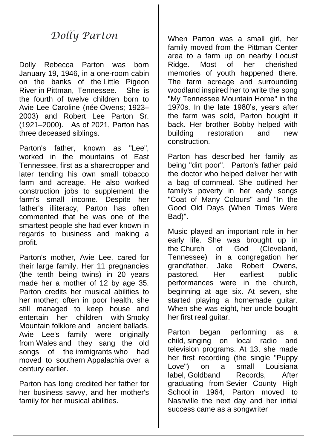## *Dolly Parton*

Dolly Rebecca Parton was born January 19, 1946, in a one-room cabin on the banks of the [Little Pigeon](https://en.wikipedia.org/wiki/Little_Pigeon_River_(Tennessee))  [River](https://en.wikipedia.org/wiki/Little_Pigeon_River_(Tennessee)) in [Pittman, Tennessee.](https://en.wikipedia.org/wiki/Pittman_Center,_Tennessee) She is the fourth of twelve children born to Avie Lee Caroline [\(née](https://en.wikipedia.org/wiki/Maiden_and_married_names) Owens; 1923– 2003) and Robert Lee Parton Sr. (1921–2000). As of 2021, Parton has three deceased siblings.

Parton's father, known as "Lee", worked in the mountains of East Tennessee, first as a [sharecropper](https://en.wikipedia.org/wiki/Sharecropper) and later tending his own small tobacco farm and acreage. He also worked construction jobs to supplement the farm's small income. Despite her father's illiteracy, Parton has often commented that he was one of the smartest people she had ever known in regards to business and making a profit.

Parton's mother, Avie Lee, cared for their large family. Her 11 pregnancies (the tenth being twins) in 20 years made her a mother of 12 by age 35. Parton credits her musical abilities to her mother; often in poor health, she still managed to keep house and entertain her children with [Smoky](https://en.wikipedia.org/wiki/Great_Smoky_Mountains)  [Mountain](https://en.wikipedia.org/wiki/Great_Smoky_Mountains) [folklore](https://en.wikipedia.org/wiki/Folklore) and ancient [ballads.](https://en.wikipedia.org/wiki/Ballad) Avie Lee's family were originally from [Wales](https://en.wikipedia.org/wiki/Wales) and they sang the old songs of the [immigrants](https://en.wikipedia.org/wiki/Immigrants) who had moved to southern [Appalachia](https://en.wikipedia.org/wiki/Appalachia) over a century earlier.

Parton has long credited her father for her business savvy, and her mother's family for her musical abilities.

When Parton was a small girl, her family moved from the Pittman Center area to a farm up on nearby Locust Ridge. Most of her cherished memories of youth happened there. The farm acreage and surrounding woodland inspired her to write the song ["My Tennessee Mountain Home"](https://en.wikipedia.org/wiki/My_Tennessee_Mountain_Home_(song)) in the 1970s. In the late 1980's, years after the farm was sold, Parton bought it back. Her brother Bobby helped with building restoration and new construction.

Parton has described her family as being "dirt poor". Parton's father paid the doctor who helped deliver her with a bag of [cornmeal.](https://en.wikipedia.org/wiki/Cornmeal) She outlined her family's poverty in her early songs ["Coat of Many Colours"](https://en.wikipedia.org/wiki/Coat_of_Many_Colors_(song)) and ["In the](https://en.wikipedia.org/wiki/In_the_Good_Old_Days_(When_Times_Were_Bad))  [Good Old Days \(When Times Were](https://en.wikipedia.org/wiki/In_the_Good_Old_Days_(When_Times_Were_Bad))  [Bad\)"](https://en.wikipedia.org/wiki/In_the_Good_Old_Days_(When_Times_Were_Bad)).

Music played an important role in her early life. She was brought up in the [Church of God \(Cleveland,](https://en.wikipedia.org/wiki/Church_of_God_(Cleveland,_Tennessee))  [Tennessee\)](https://en.wikipedia.org/wiki/Church_of_God_(Cleveland,_Tennessee)) in a congregation her grandfather, Jake Robert Owens, pastored. Her earliest public performances were in the church, beginning at age six. At seven, she started playing a homemade guitar. When she was eight, her uncle bought her first real guitar.

Parton began performing as a child, singing on local radio and television programs. At 13, she made her first recording (the single "Puppy Love") on a small Louisiana label, [Goldband Records,](https://en.wikipedia.org/wiki/Goldband_Records) After graduating from [Sevier County High](https://en.wikipedia.org/wiki/Sevier_County_High_School)  [School](https://en.wikipedia.org/wiki/Sevier_County_High_School) in 1964, Parton moved to Nashville the next day and her initial success came as a songwriter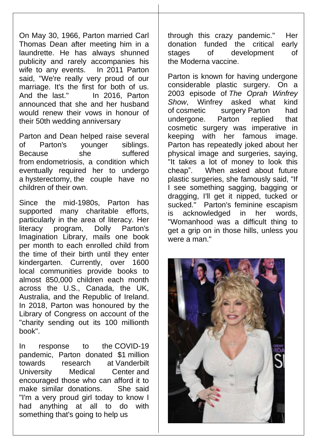On May 30, 1966, Parton married Carl Thomas Dean after meeting him in a laundrette. He has always shunned publicity and rarely accompanies his wife to any events. In 2011 Parton said, "We're really very proud of our marriage. It's the first for both of us. And the last." In 2016, Parton announced that she and her husband would renew their vows in honour of their 50th wedding anniversary

Parton and Dean helped raise several of Parton's younger siblings. Because she suffered from [endometriosis,](https://en.wikipedia.org/wiki/Endometriosis) a condition which eventually required her to undergo a [hysterectomy,](https://en.wikipedia.org/wiki/Hysterectomy) the couple have no children of their own.

Since the mid-1980s, Parton has supported many charitable efforts, particularly in the area of literacy. Her literacy program, Dolly Parton's Imagination Library, mails one book per month to each enrolled child from the time of their birth until they enter kindergarten. Currently, over 1600 local communities provide books to almost 850,000 children each month across the U.S., Canada, the UK, Australia, and the Republic of Ireland. In 2018, Parton was honoured by the Library of Congress on account of the "charity sending out its 100 millionth book".

In response to the [COVID-19](https://en.wikipedia.org/wiki/COVID-19_pandemic)  [pandemic,](https://en.wikipedia.org/wiki/COVID-19_pandemic) Parton donated \$1 million towards research at [Vanderbilt](https://en.wikipedia.org/wiki/Vanderbilt_University_Medical_Center)  [University Medical Center](https://en.wikipedia.org/wiki/Vanderbilt_University_Medical_Center) and encouraged those who can afford it to make similar donations. She said "I'm a very proud girl today to know I had anything at all to do with something that's going to help us

through this crazy pandemic." Her donation funded the critical early stages of development of the [Moderna](https://en.wikipedia.org/wiki/Moderna) vaccine.

Parton is known for having undergone considerable plastic surgery. On a 2003 episode of *[The Oprah Winfrey](https://en.wikipedia.org/wiki/The_Oprah_Winfrey_Show)  [Show](https://en.wikipedia.org/wiki/The_Oprah_Winfrey_Show)*, Winfrey asked what kind of [cosmetic surgery](https://en.wikipedia.org/wiki/Cosmetic_surgery) Parton had undergone. Parton replied that cosmetic surgery was imperative in keeping with her famous image. Parton has repeatedly joked about her physical image and surgeries, saying, "It takes a lot of money to look this cheap". When asked about future plastic surgeries, she famously said, "If I see something sagging, bagging or dragging, I'll get it nipped, tucked or sucked." Parton's feminine escapism is acknowledged in her words, "Womanhood was a difficult thing to get a grip on in those hills, unless you were a man."

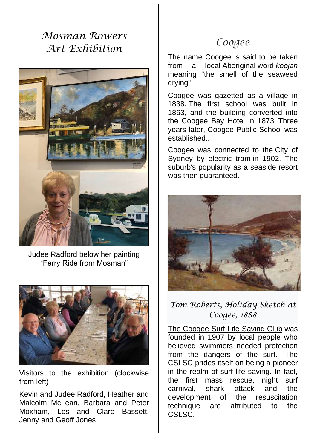# *Mosman Rowers Art Exhibition*



Judee Radford below her painting "Ferry Ride from Mosman"



Visitors to the exhibition (clockwise from left)

Kevin and Judee Radford, Heather and Malcolm McLean, Barbara and Peter Moxham, Les and Clare Bassett, Jenny and Geoff Jones

## *Coogee*

The name Coogee is said to be taken from a local [Aboriginal](https://en.wikipedia.org/wiki/Australian_Aborigine) word *koojah*  meaning "the smell of the seaweed drying"

Coogee was gazetted as a village in 1838. The first school was built in 1863, and the building converted into the Coogee Bay Hotel in 1873. Three years later, Coogee Public School was established..

Coogee was connected to the [City of](https://en.wikipedia.org/wiki/Trams_in_Sydney)  [Sydney by electric tram](https://en.wikipedia.org/wiki/Trams_in_Sydney) in 1902. The suburb's popularity as a seaside resort was then guaranteed.



### *Tom Roberts, Holiday Sketch at Coogee, 1888*

The [Coogee Surf Life Saving Club](https://en.wikipedia.org/wiki/Coogee_Surf_Life_Saving_Club) was founded in 1907 by local people who believed swimmers needed protection from the dangers of the surf. The CSLSC prides itself on being a pioneer in the realm of surf life saving. In fact, the first mass rescue, night surf carnival, shark attack and the development of the resuscitation technique are attributed to the CSLSC.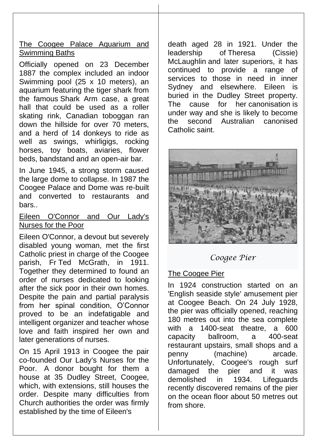#### The Coogee Palace Aquarium and Swimming Baths

Officially opened on 23 December 1887 the complex included an indoor Swimming pool (25 x 10 meters), an aquarium featuring the tiger shark from the famous [Shark Arm case,](https://en.wikipedia.org/wiki/Shark_Arm_case) a great hall that could be used as a roller skating rink, Canadian toboggan ran down the hillside for over 70 meters, and a herd of 14 donkeys to ride as well as swings, whirligigs, rocking horses, toy boats, aviaries, flower beds, bandstand and an open-air bar.

In June 1945, a strong storm caused the large dome to collapse. In 1987 the Coogee Palace and Dome was re-built and converted to restaurants and bars..

#### Eileen O'Connor and Our Lady's Nurses for the Poor

[Eileen O'Connor,](https://en.wikipedia.org/wiki/Eileen_Rosaline_O%27Connor) a devout but severely disabled young woman, met the first Catholic priest in charge of the Coogee parish, Fr [Ted McGrath,](https://en.wikipedia.org/wiki/Ted_McGrath) in 1911. Together they determined to found an order of nurses dedicated to looking after the sick poor in their own homes. Despite the pain and partial paralysis from her spinal condition, O'Connor proved to be an indefatigable and intelligent organizer and teacher whose love and faith inspired her own and later generations of nurses.

On 15 April 1913 in Coogee the pair co-founded Our Lady's Nurses for the Poor. A donor bought for them a house at 35 Dudley Street, Coogee, which, with extensions, still houses the order. Despite many difficulties from Church authorities the order was firmly established by the time of Eileen's

death aged 28 in 1921. Under the leadership of [Theresa \(Cissie\)](https://en.wikipedia.org/wiki/Theresa_(Cissie)_McLaughlin)  [McLaughlin](https://en.wikipedia.org/wiki/Theresa_(Cissie)_McLaughlin) and later superiors, it has continued to provide a range of services to those in need in inner Sydney and elsewhere. Eileen is buried in the Dudley Street property. The cause for her [canonisation](https://en.wikipedia.org/wiki/Canonisation) is under way and she is likely to become the second Australian canonised Catholic saint.



*Coogee Pier*

#### The Coogee Pier

In 1924 construction started on an 'English seaside style' amusement pier at Coogee Beach. On 24 July 1928, the pier was officially opened, reaching 180 metres out into the sea complete with a 1400-seat theatre, a 600 capacity ballroom, a 400-seat restaurant upstairs, small shops and a penny (machine) arcade. Unfortunately, Coogee's rough surf damaged the pier and it was demolished in 1934. Lifeguards recently discovered remains of the pier on the ocean floor about 50 metres out from shore.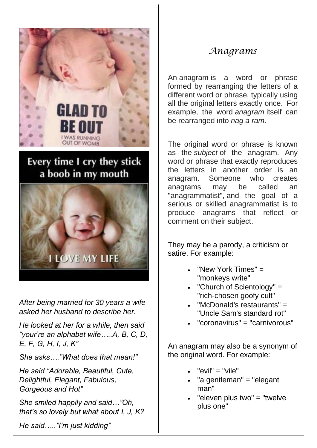

# Every time I cry they stick a boob in my mouth



*After being married for 30 years a wife asked her husband to describe her.*

*He looked at her for a while, then said "your're an alphabet wife…..A, B, C, D, E, F, G, H, I, J, K"*

*She asks…."What does that mean!"*

*He said "Adorable, Beautiful, Cute, Delightful, Elegant, Fabulous, Gorgeous and Hot"*

*She smiled happily and said…"Oh, that's so lovely but what about I, J, K?*

*He said….."I'm just kidding"* 

### *Anagrams*

An anagram is a word or phrase formed by rearranging the letters of a different word or phrase, typically using all the original letters exactly once. For example, the word *anagram* itself can be rearranged into *nag a ram*.

The original word or phrase is known as the *subject* of the anagram. Any word or phrase that exactly reproduces the letters in another order is an anagram. Someone who creates anagrams may be called an "anagrammatist", and the goal of a serious or skilled anagrammatist is to produce anagrams that reflect or comment on their subject.

They may be a parody, a criticism or satire. For example:

- ["New York Times"](https://en.wikipedia.org/wiki/The_New_York_Times) = ["monkeys write"](https://en.wikipedia.org/wiki/Infinite_monkey_theorem)
- ["Church of Scientology"](https://en.wikipedia.org/wiki/Church_of_Scientology) = "rich-chosen goofy cult"
- ["McDonald's](https://en.wikipedia.org/wiki/McDonald%27s) restaurants" = ["Uncle Sam's](https://en.wikipedia.org/wiki/Uncle_Sam) standard rot"
- ["coronavirus"](https://en.wikipedia.org/wiki/Coronavirus) = ["carnivorous"](https://en.wikipedia.org/wiki/Carnivore)

An anagram may also be a synonym of the original word. For example:

- "evil" = "vile"
- "a [gentleman"](https://en.wikipedia.org/wiki/Gentleman) = "elegant man"
- "eleven plus two" = "twelve plus one"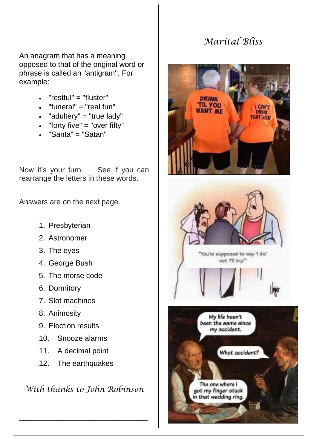## *Marital Bliss*

An anagram that has a meaning opposed to that of the original word or phrase is called an "antigram". For example:

- "restful" = "fluster"
- ["funeral"](https://en.wikipedia.org/wiki/Funeral)  $=$  "real fun"
- ["adultery"](https://en.wikipedia.org/wiki/Adultery) = "true lady"
- "forty five" = "over fifty"
- ["Santa"](https://en.wikipedia.org/wiki/Santa) = ["Satan"](https://en.wikipedia.org/wiki/Satan)

Now it's your turn. See if you can rearrange the letters in these words.

Answers are on the next page.

- 1. Presbyterian
- 2. Astronomer
- 3. The eyes
- 4. George Bush
- 5. The morse code
- 6. Dormitory
- 7. Slot machines
- 8. Animosity
- 9. Election results
- 10. Snooze alarms
- 11. A decimal point
- 12. The earthquakes

*With thanks to John Robinson*

\_\_\_\_\_\_\_\_\_\_\_\_\_\_\_\_\_\_\_\_\_\_\_\_\_\_\_\_\_\_\_





"You're supposed to say 'l do," not 'I'll try."